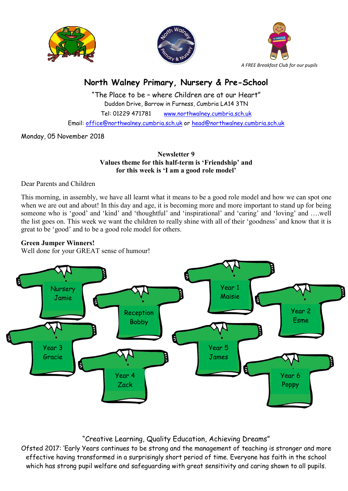





# North Walney Primary, Nursery & Pre-School

"The Place to be – where Children are at our Heart" Duddon Drive, Barrow in Furness, Cumbria LA14 3TN Tel: 01229 471781 www.northwalney.cumbria.sch.uk Email: office@northwalney.cumbria.sch.uk or head@northwalney.cumbria.sch.uk

Monday, 05 November 2018

Newsletter 9 Values theme for this half-term is 'Friendship' and for this week is 'I am a good role model'

Dear Parents and Children

This morning, in assembly, we have all learnt what it means to be a good role model and how we can spot one when we are out and about! In this day and age, it is becoming more and more important to stand up for being someone who is 'good' and 'kind' and 'thoughtful' and 'inspirational' and 'caring' and 'loving' and ….well the list goes on. This week we want the children to really shine with all of their 'goodness' and know that it is great to be 'good' and to be a good role model for others.

# Green Jumper Winners!

Well done for your GREAT sense of humour!



# "Creative Learning, Quality Education, Achieving Dreams"

Ofsted 2017: 'Early Years continues to be strong and the management of teaching is stronger and more effective having transformed in a surprisingly short period of time. Everyone has faith in the school which has strong pupil welfare and safeguarding with great sensitivity and caring shown to all pupils.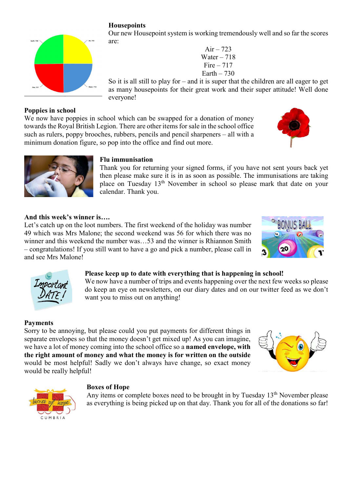## **Housepoints**

Our new Housepoint system is working tremendously well and so far the scores are:

> Air –  $723$ Water  $-718$ Fire  $-717$  $Earth - 730$

So it is all still to play for – and it is super that the children are all eager to get as many housepoints for their great work and their super attitude! Well done everyone!

Poppies in school We now have poppies in school which can be swapped for a donation of money towards the Royal British Legion. There are other items for sale in the school office such as rulers, poppy brooches, rubbers, pencils and pencil sharpeners – all with a minimum donation figure, so pop into the office and find out more.

### Flu immunisation

Thank you for returning your signed forms, if you have not sent yours back yet then please make sure it is in as soon as possible. The immunisations are taking place on Tuesday 13th November in school so please mark that date on your calendar. Thank you.

#### And this week's winner is….

Let's catch up on the loot numbers. The first weekend of the holiday was number 49 which was Mrs Malone; the second weekend was 56 for which there was no winner and this weekend the number was…53 and the winner is Rhiannon Smith – congratulations! If you still want to have a go and pick a number, please call in and see Mrs Malone!

#### Please keep up to date with everything that is happening in school!

We now have a number of trips and events happening over the next few weeks so please do keep an eye on newsletters, on our diary dates and on our twitter feed as we don't want you to miss out on anything!

#### Payments

Sorry to be annoying, but please could you put payments for different things in separate envelopes so that the money doesn't get mixed up! As you can imagine, we have a lot of money coming into the school office so a named envelope, with the right amount of money and what the money is for written on the outside would be most helpful! Sadly we don't always have change, so exact money would be really helpful!

#### Boxes of Hope

Any items or complete boxes need to be brought in by Tuesday 13<sup>th</sup> November please as everything is being picked up on that day. Thank you for all of the donations so far!

















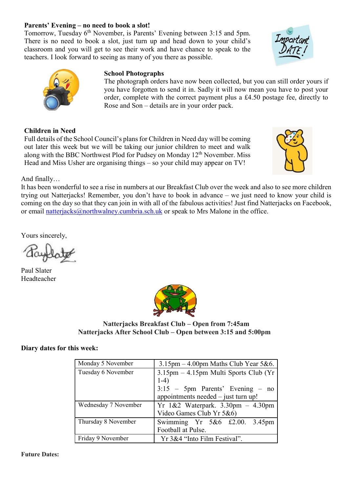#### Parents' Evening – no need to book a slot!

Tomorrow, Tuesday 6<sup>th</sup> November, is Parents' Evening between 3:15 and 5pm. There is no need to book a slot, just turn up and head down to your child's classroom and you will get to see their work and have chance to speak to the teachers. I look forward to seeing as many of you there as possible.

#### School Photographs

The photograph orders have now been collected, but you can still order yours if you have forgotten to send it in. Sadly it will now mean you have to post your order, complete with the correct payment plus a £4.50 postage fee, directly to Rose and Son – details are in your order pack.

#### Children in Need

Full details of the School Council's plans for Children in Need day will be coming out later this week but we will be taking our junior children to meet and walk along with the BBC Northwest Plod for Pudsey on Monday 12<sup>th</sup> November. Miss Head and Miss Usher are organising things – so your child may appear on TV!

And finally…

It has been wonderful to see a rise in numbers at our Breakfast Club over the week and also to see more children trying out Natterjacks! Remember, you don't have to book in advance – we just need to know your child is coming on the day so that they can join in with all of the fabulous activities! Just find Natterjacks on Facebook, or email natterjacks@northwalney.cumbria.sch.uk or speak to Mrs Malone in the office.

Yours sincerely,

Paul Slater Headteacher



Natterjacks Breakfast Club – Open from 7:45am Natterjacks After School Club – Open between 3:15 and 5:00pm

#### Diary dates for this week:

| Monday 5 November    | $3.15$ pm $-4.00$ pm Maths Club Year 5&6.                                                                                         |
|----------------------|-----------------------------------------------------------------------------------------------------------------------------------|
| Tuesday 6 November   | $3.15$ pm $-4.15$ pm Multi Sports Club (Yr<br>$1-4)$<br>$3:15$ – 5pm Parents' Evening – no<br>appointments needed – just turn up! |
| Wednesday 7 November | Yr 1&2 Waterpark. 3.30pm - 4.30pm<br>Video Games Club Yr 5&6)                                                                     |
| Thursday 8 November  | Swimming Yr 5&6 £2.00. 3.45pm<br>Football at Pulse.                                                                               |
|                      |                                                                                                                                   |